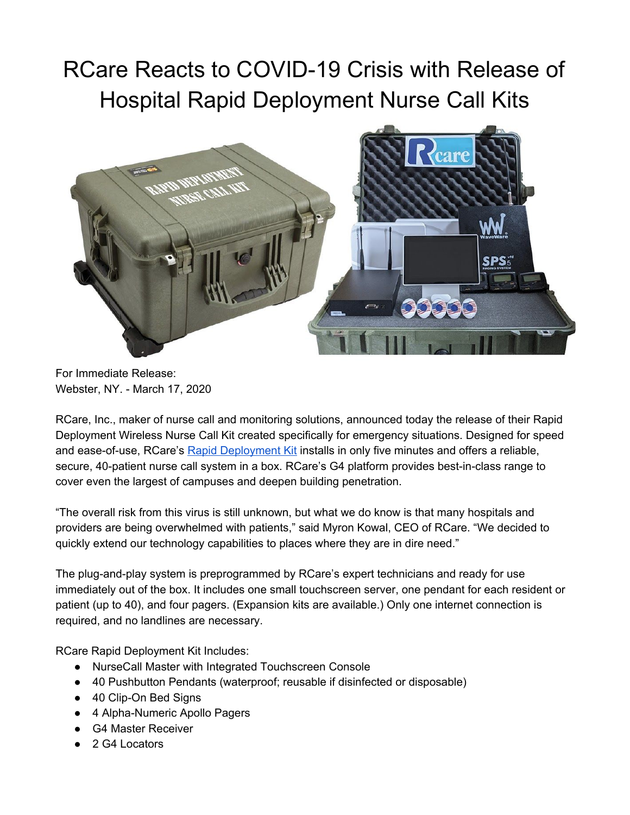## RCare Reacts to COVID-19 Crisis with Release of Hospital Rapid Deployment Nurse Call Kits



For Immediate Release: Webster, NY. - March 17, 2020

RCare, Inc., maker of nurse call and monitoring solutions, announced today the release of their Rapid Deployment Wireless Nurse Call Kit created specifically for emergency situations. Designed for speed and ease-of-use, RCare's Rapid [Deployment](https://rcareinc.com/products/rapid-deployment-kit/) Kit installs in only five minutes and offers a reliable, secure, 40-patient nurse call system in a box. RCare's G4 platform provides best-in-class range to cover even the largest of campuses and deepen building penetration.

"The overall risk from this virus is still unknown, but what we do know is that many hospitals and providers are being overwhelmed with patients," said Myron Kowal, CEO of RCare. "We decided to quickly extend our technology capabilities to places where they are in dire need."

The plug-and-play system is preprogrammed by RCare's expert technicians and ready for use immediately out of the box. It includes one small touchscreen server, one pendant for each resident or patient (up to 40), and four pagers. (Expansion kits are available.) Only one internet connection is required, and no landlines are necessary.

RCare Rapid Deployment Kit Includes:

- NurseCall Master with Integrated Touchscreen Console
- 40 Pushbutton Pendants (waterproof; reusable if disinfected or disposable)
- 40 Clip-On Bed Signs
- 4 Alpha-Numeric Apollo Pagers
- G4 Master Receiver
- 2 G4 Locators